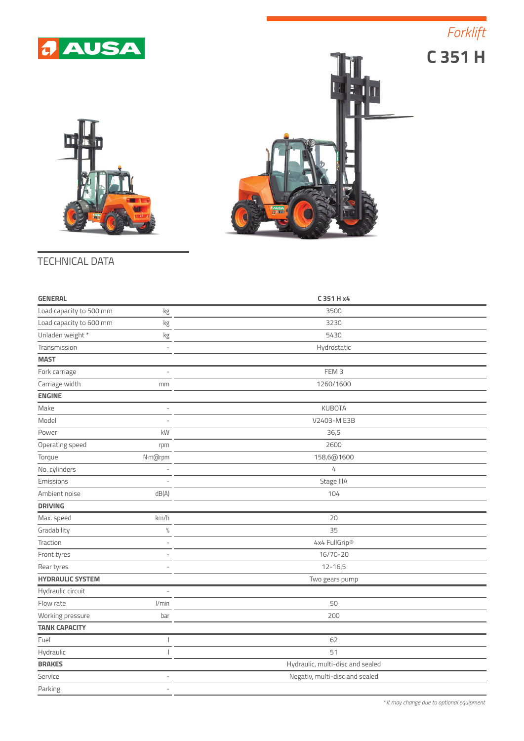

*Forklift*





## TECHNICAL DATA

| <b>GENERAL</b>          |                | C 351 H x4                       |
|-------------------------|----------------|----------------------------------|
| Load capacity to 500 mm | kg             | 3500                             |
| Load capacity to 600 mm | kg             | 3230                             |
| Unladen weight*         | kg             | 5430                             |
| Transmission            | L.             | Hydrostatic                      |
| <b>MAST</b>             |                |                                  |
| Fork carriage           | L.             | FEM <sub>3</sub>                 |
| Carriage width          | mm             | 1260/1600                        |
| <b>ENGINE</b>           |                |                                  |
| Make                    |                | <b>KUBOTA</b>                    |
| Model                   | ÷              | V2403-M E3B                      |
| Power                   | kW             | 36,5                             |
| Operating speed         | rpm            | 2600                             |
| Torque                  | N·m@rpm        | 158,6@1600                       |
| No. cylinders           |                | 4                                |
| Emissions               |                | Stage IIIA                       |
| Ambient noise           | dB(A)          | 104                              |
| <b>DRIVING</b>          |                |                                  |
| Max. speed              | km/h           | 20                               |
| Gradability             | $\%$           | 35                               |
| Traction                | ä,             | 4x4 FullGrip®                    |
| Front tyres             |                | 16/70-20                         |
| Rear tyres              | $\overline{a}$ | $12 - 16,5$                      |
| <b>HYDRAULIC SYSTEM</b> |                | Two gears pump                   |
| Hydraulic circuit       |                |                                  |
| Flow rate               | l/min          | 50                               |
| Working pressure        | bar            | 200                              |
| <b>TANK CAPACITY</b>    |                |                                  |
| Fuel                    |                | 62                               |
| Hydraulic               |                | 51                               |
| <b>BRAKES</b>           |                | Hydraulic, multi-disc and sealed |
| Service                 | ٠              | Negativ, multi-disc and sealed   |
| Parking                 | ٠              |                                  |